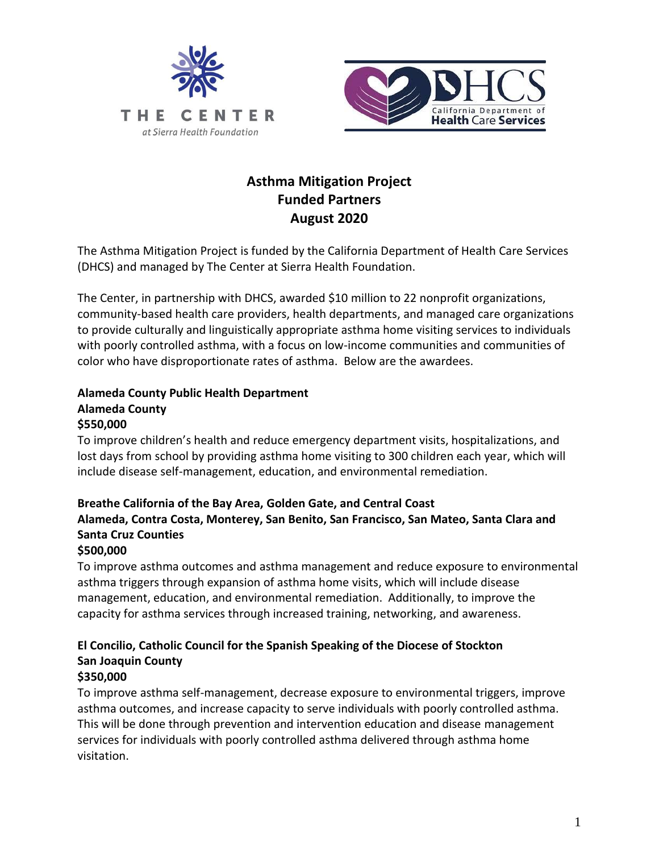



# **Asthma Mitigation Project Funded Partners August 2020**

The Asthma Mitigation Project is funded by the California Department of Health Care Services (DHCS) and managed by The Center at Sierra Health Foundation.

The Center, in partnership with DHCS, awarded \$10 million to 22 nonprofit organizations, community-based health care providers, health departments, and managed care organizations to provide culturally and linguistically appropriate asthma home visiting services to individuals with poorly controlled asthma, with a focus on low-income communities and communities of color who have disproportionate rates of asthma. Below are the awardees.

# **Alameda County Public Health Department Alameda County**

#### **\$550,000**

To improve children's health and reduce emergency department visits, hospitalizations, and lost days from school by providing asthma home visiting to 300 children each year, which will include disease self-management, education, and environmental remediation.

# **Breathe California of the Bay Area, Golden Gate, and Central Coast Alameda, Contra Costa, Monterey, San Benito, San Francisco, San Mateo, Santa Clara and Santa Cruz Counties**

#### **\$500,000**

To improve asthma outcomes and asthma management and reduce exposure to environmental asthma triggers through expansion of asthma home visits, which will include disease management, education, and environmental remediation. Additionally, to improve the capacity for asthma services through increased training, networking, and awareness.

# **El Concilio, Catholic Council for the Spanish Speaking of the Diocese of Stockton San Joaquin County**

### **\$350,000**

To improve asthma self-management, decrease exposure to environmental triggers, improve asthma outcomes, and increase capacity to serve individuals with poorly controlled asthma. This will be done through prevention and intervention education and disease management services for individuals with poorly controlled asthma delivered through asthma home visitation.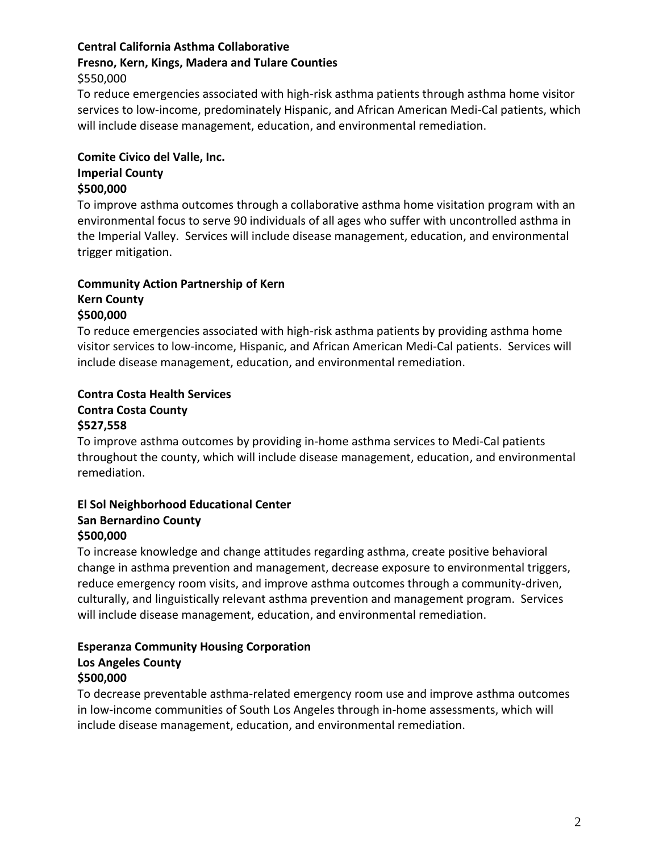### **Central California Asthma Collaborative**

# **Fresno, Kern, Kings, Madera and Tulare Counties**

\$550,000

To reduce emergencies associated with high-risk asthma patients through asthma home visitor services to low-income, predominately Hispanic, and African American Medi-Cal patients, which will include disease management, education, and environmental remediation.

# **Comite Civico del Valle, Inc. Imperial County**

#### **\$500,000**

To improve asthma outcomes through a collaborative asthma home visitation program with an environmental focus to serve 90 individuals of all ages who suffer with uncontrolled asthma in the Imperial Valley. Services will include disease management, education, and environmental trigger mitigation.

## **Community Action Partnership of Kern**

#### **Kern County \$500,000**

To reduce emergencies associated with high-risk asthma patients by providing asthma home visitor services to low-income, Hispanic, and African American Medi-Cal patients. Services will include disease management, education, and environmental remediation.

# **Contra Costa Health Services Contra Costa County**

#### **\$527,558**

To improve asthma outcomes by providing in-home asthma services to Medi-Cal patients throughout the county, which will include disease management, education, and environmental remediation.

#### **El Sol Neighborhood Educational Center San Bernardino County \$500,000**

To increase knowledge and change attitudes regarding asthma, create positive behavioral change in asthma prevention and management, decrease exposure to environmental triggers, reduce emergency room visits, and improve asthma outcomes through a community-driven, culturally, and linguistically relevant asthma prevention and management program. Services will include disease management, education, and environmental remediation.

#### **Esperanza Community Housing Corporation Los Angeles County \$500,000**

To decrease preventable asthma-related emergency room use and improve asthma outcomes in low-income communities of South Los Angeles through in-home assessments, which will include disease management, education, and environmental remediation.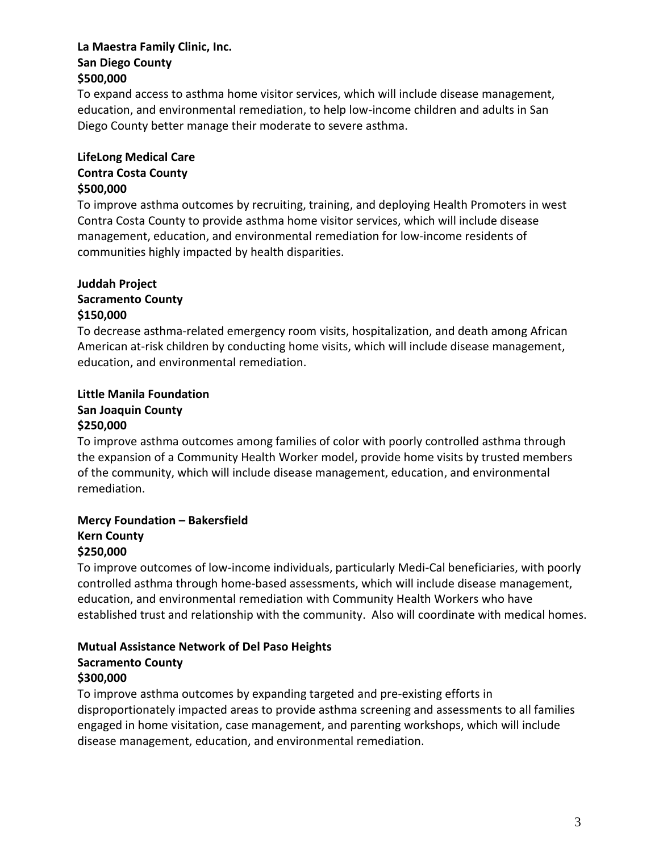#### **La Maestra Family Clinic, Inc. San Diego County \$500,000**

To expand access to asthma home visitor services, which will include disease management, education, and environmental remediation, to help low-income children and adults in San Diego County better manage their moderate to severe asthma.

### **LifeLong Medical Care Contra Costa County \$500,000**

To improve asthma outcomes by recruiting, training, and deploying Health Promoters in west Contra Costa County to provide asthma home visitor services, which will include disease management, education, and environmental remediation for low-income residents of communities highly impacted by health disparities.

#### **Juddah Project Sacramento County**

## **\$150,000**

To decrease asthma-related emergency room visits, hospitalization, and death among African American at-risk children by conducting home visits, which will include disease management, education, and environmental remediation.

# **Little Manila Foundation**

#### **San Joaquin County \$250,000**

To improve asthma outcomes among families of color with poorly controlled asthma through the expansion of a Community Health Worker model, provide home visits by trusted members of the community, which will include disease management, education, and environmental remediation.

# **Mercy Foundation – Bakersfield**

#### **Kern County \$250,000**

To improve outcomes of low-income individuals, particularly Medi-Cal beneficiaries, with poorly controlled asthma through home-based assessments, which will include disease management, education, and environmental remediation with Community Health Workers who have established trust and relationship with the community. Also will coordinate with medical homes.

#### **Mutual Assistance Network of Del Paso Heights Sacramento County \$300,000**

To improve asthma outcomes by expanding targeted and pre-existing efforts in disproportionately impacted areas to provide asthma screening and assessments to all families engaged in home visitation, case management, and parenting workshops, which will include disease management, education, and environmental remediation.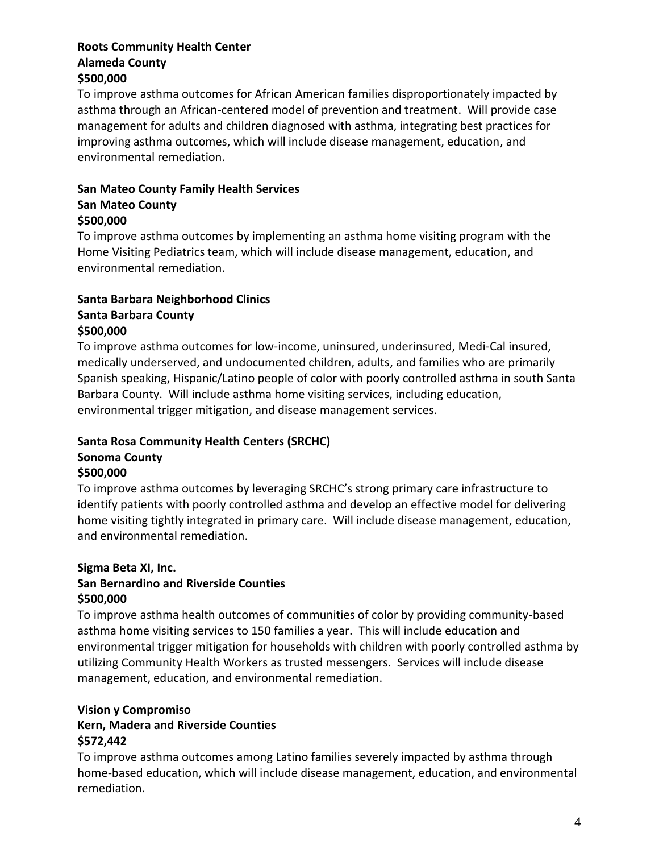#### **Roots Community Health Center Alameda County \$500,000**

To improve asthma outcomes for African American families disproportionately impacted by asthma through an African-centered model of prevention and treatment. Will provide case management for adults and children diagnosed with asthma, integrating best practices for improving asthma outcomes, which will include disease management, education, and environmental remediation.

## **San Mateo County Family Health Services**

#### **San Mateo County \$500,000**

To improve asthma outcomes by implementing an asthma home visiting program with the Home Visiting Pediatrics team, which will include disease management, education, and environmental remediation.

#### **Santa Barbara Neighborhood Clinics Santa Barbara County \$500,000**

To improve asthma outcomes for low-income, uninsured, underinsured, Medi-Cal insured, medically underserved, and undocumented children, adults, and families who are primarily Spanish speaking, Hispanic/Latino people of color with poorly controlled asthma in south Santa Barbara County. Will include asthma home visiting services, including education, environmental trigger mitigation, and disease management services.

# **Santa Rosa Community Health Centers (SRCHC)**

# **Sonoma County**

### **\$500,000**

To improve asthma outcomes by leveraging SRCHC's strong primary care infrastructure to identify patients with poorly controlled asthma and develop an effective model for delivering home visiting tightly integrated in primary care. Will include disease management, education, and environmental remediation.

## **Sigma Beta XI, Inc.**

## **San Bernardino and Riverside Counties \$500,000**

To improve asthma health outcomes of communities of color by providing community-based asthma home visiting services to 150 families a year. This will include education and environmental trigger mitigation for households with children with poorly controlled asthma by utilizing Community Health Workers as trusted messengers. Services will include disease management, education, and environmental remediation.

## **Vision y Compromiso**

## **Kern, Madera and Riverside Counties \$572,442**

To improve asthma outcomes among Latino families severely impacted by asthma through home-based education, which will include disease management, education, and environmental remediation.